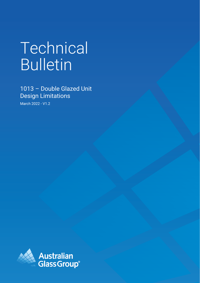# Technical Bulletin

1013 – Double Glazed Unit Design Limitations

March 2022 - V1.2

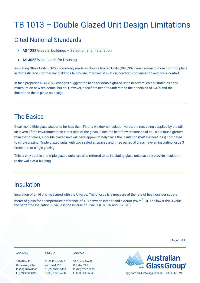## TB 1013 – Double Glazed Unit Design Limitations

### Cited National Standards

- AS 1288 Glass in buildings Selection and installation
- AS 4055 Wind Loads for Housing

Insulating Glass Units (IGU's) commonly made as Double Glazed Units (DGU/DG), are becoming more commonplace in domestic and commercial buildings to provide improved insulation, comfort, condensation and noise control.

In fact, proposed NCC 2022 changes suggest the need for double glazed units in several colder states as code minimum on new residential builds. However, specifiers need to understand the principles of IGU's and the limitations these place on design.

### The Basics

Clear monolithic glass accounts for less than 5% of a window's insulation value, the rest being supplied by the still air layers of the environments on either side of the glass. Since the heat flow resistance of still air is much greater than that of glass, a double glazed unit will have approximately twice the insulation (half the heat loss) compared to single glazing. Triple glazed units with two sealed airspaces and three panes of glass have an insulating value 3 times that of single glazing.

This is why double and triple glazed units are also referred to as insulating glass units as they provide insulation to the walls of a building.

### Insulation

Insulation of an IGU is measured with the U value. The U value is a measure of the rate of heat loss per square

meter of glass for a temperature difference of 1°C between interior and exterior (W/m<sup>2°</sup>C). The lower the U value, the better the insulation. U value is the inverse of R value ( $U = 1/R$  and R =  $1/U$ )

| <b>AGG NSW</b>                      | AGG VIC                             | <b>AGG TAS</b>                   |                                             |
|-------------------------------------|-------------------------------------|----------------------------------|---------------------------------------------|
| 140 Gilba Rd                        | 81-83 Rushdale St                   | 39 South Arm Rd                  | <b>Australian<br/>Glass Group®</b>          |
| Girraween, NSW<br>P: (02) 9896 0566 | Knoxfield, VIC<br>P: (03) 9730 7400 | Rokeby, TAS<br>P: (03) 6247 1625 |                                             |
| F: (02) 9896 0190                   | F: (03) 9730 7488                   | F: (03) 6247 6843                | agg.com.au   info.agg.com.au   1300 768 024 |

Page 1 of 9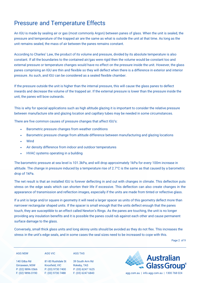### Pressure and Temperature Effects

An IGU is made by sealing air or gas (most commonly Argon) between panes of glass. When the unit is sealed, the pressure and temperature of the trapped air are the same as what is outside the unit at that time. As long as the unit remains sealed, the mass of air between the panes remains constant.

According to Charles' Law, the product of its volume and pressure, divided by its absolute temperature is also constant. If all the boundaries to the contained air/gas were rigid then the volume would be constant too and external pressure or temperature changes would have no effect on the pressure inside the unit. However, the glass panes comprising an IGU are thin and flexible so they will deflect when there is a difference in exterior and interior pressure. As such, and IGU can be considered as a sealed flexible chamber.

If the pressure outside the unit is higher than the internal pressure, this will cause the glass panes to deflect inwards and decrease the volume of the trapped air. If the external pressure is lower than the pressure inside the unit, the panes will bow outwards.

This is why for special applications such as high altitude glazing it is important to consider the relative pressure between manufacture site and glazing location and capillary tubes may be needed in some circumstances.

There are five common causes of pressure changes that affect IGU's:

- Barometric pressure changes from weather conditions
- Barometric pressure change from altitude difference between manufacturing and glazing locations
- **Wind**
- Air density difference from indoor and outdoor temperatures
- HVAC systems operating in a building

The barometric pressure at sea level is 101.3kPa, and will drop approximately 1kPa for every 100m increase in altitude. The change in pressure induced by a temperature rise of 2.7°C is the same as that caused by a barometric drop of 1kPa.

The net result is that an installed IGU is forever deflecting in and out with changes in climate. This deflection puts stress on the edge seals which can shorten their life if excessive. This deflection can also create changes in the appearance of transmission and reflection images, especially if the units are made from tinted or reflective glass.

If a unit is large and/or square in geometry it will need a larger spacer as units of this geometry deflect more than narrower rectangular shaped units. If the spacer is small enough that the units deflect enough that the panes touch, they are susceptible to an effect called Newton's Rings. As the panes are touching, the unit is no longer providing any insulation benefits and it is possible the panes could rub against each other and cause permanent surface damage to the glass.

Conversely, small thick glass units and long skinny units should be avoided as they do not flex. This increases the stress in the unit's edge seals, and in some cases the seal sizes need to be increased to cope with this.

Page 2 of 9

| AGG NSW |
|---------|
|         |

**AGG VIC**

140 Gilba Rd Girraween, NSW P: (02) 9896 0566 F: (02) 9896 0190

81-83 Rushdale St Knoxfield, VIC F: (03) 9730 7488

P: (03) 9730 7400 P: (03) 6247 1625 39 South Arm Rd Rokeby, TAS

**AGG TAS**



F: (03) 6247 6843 agg.com.au | info.agg.com.au | 1300 768 024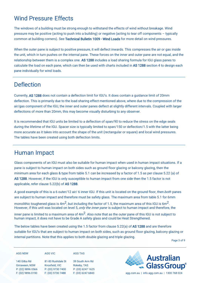### Wind Pressure Effects

The windows of a building must be strong enough to withstand the effects of wind without breakage. Wind pressure may be positive (acting to push into a building) or negative (acting to tear off components – typically common at building corners). See [Technical Bulletin 1009 - Wind Loads](https://agg.com.au/wp-content/uploads/2022/03/AGG-Technical-Bulletin-1009-Wind-Loads.pdf) for more detail on wind pressures.

When the outer pane is subject to positive pressure, it will deflect inwards. This compresses the air or gas inside the unit, which in turn pushes on the internal pane. These forces on the inner and outer pane are not equal, and the relationship between them is a complex one. AS 1288 includes a load sharing formula for IGU glass panes to calculate the load on each pane, which can then be used with charts included in AS 1288 section 4 to design each pane individually for wind loads.

### **Deflection**

Currently, AS 1288 does not contain a deflection limit for IGU's. It does contain a guidance limit of 20mm deflection. This is primarily due to the load sharing effect mentioned above, where due to the compression of the air/gas component of the IGU, the inner and outer panes deflect at slightly different intervals. Coupled with larger deflections of more than 20mm, this may become visually disturbing to any observer.

It is recommended that IGU units be limited to a deflection of span/90 to reduce the stress on the edge seals during the lifetime of the IGU. Spacer size is typically limited to span/150 or deflection/1.5 with the latter being more accurate as it takes into account the shape of the unit (rectangular or square) and local wind pressures. The tables have been created using both deflection limits.

### Human Impact

Glass components of an IGU must also be suitable for human impact when used in human impact situations. If a pane is subject to human impact on both sides such as ground floor glazing or balcony glazing, then the minimum area for each glass & type from table 5.1 can be increased by a factor of 1.5 as per clause 5.22 (a) of AS 1288. However, if the IGU is only susceptible to human impact from one side then the 1.5 factor is not applicable, refer clause 5.22(b) of AS 1288.

A good example of this is a 6 outer/12 air/ 6 inner IGU. If this unit is located on the ground floor, then both panes are subject to human impact and therefore must be safety glass. The maximum area from table 5.1 for 6mm

monolithic toughened glass is  $4m^2$ , but including the factor of 1.5, the maximum area of this IGU is 6m<sup>2</sup>. However, if this unit was located on level 5, *only the inner pane* is subject to human impact and therefore, the

inner pane is limited to a maximum area of  $4m^2$ . Also note that as the outer pane of this IGU is not subject to human impact, it does not have to be Grade A safety glass and could be Heat Strengthened.

The below tables have been created using the 1.5 factor from clause 5.22(a) of AS 1288 and are therefore suitable for IGU's that are subject to human impact on both sides, such as ground floor glazing, balcony glazing or internal partitions. Note that this applies to both double glazing and triple glazing.

Page 3 of 9

| <b>AGG NSW</b> |  |  |  |
|----------------|--|--|--|
|                |  |  |  |

**AGG VIC**

140 Gilba Rd Girraween, NSW P: (02) 9896 0566 F: (02) 9896 0190

81-83 Rushdale St Knoxfield, VIC F: (03) 9730 7488

P: (03) 9730 7400 P: (03) 6247 1625 39 South Arm Rd Rokeby, TAS

**AGG TAS**



F: (03) 6247 6843 agg.com.au | info.agg.com.au | 1300 768 024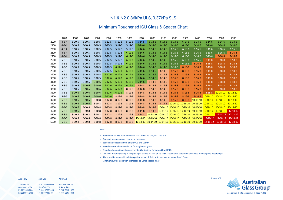| <b>AGG NSW</b>        | AGG VIC           | AGG TAS         |
|-----------------------|-------------------|-----------------|
| 140 Gilba Rd          | 81-83 Rushdale St | 39 South Arm Rd |
| <b>Girraween, NSW</b> | Knoxfield, VIC    | Rokeby, TAS     |

P: (02) 9896 0566 F: (02) 9896 0190 Knoxfield, VIC P: (03) 9730 7400 F: (03) 9730 7488

Rokeby, TAS P: (03) 6247 1625

| 2600           | 2700           |
|----------------|----------------|
| $6 - 14 - 6$   | $6 - 14 - 6$   |
| $6 - 14 - 6$   | 6-14-6         |
| 6-16-6         | 6-16-6         |
| 6-16-6         | $8 - 16 - 8$   |
| $8 - 16 - 8$   | $8 - 16 - 8$   |
| $8 - 18 - 8$   | $8 - 18 - 8$   |
| $8 - 18 - 8$   | $8 - 18 - 8$   |
| $8 - 18 - 8$   | $8 - 18 - 8$   |
| $8 - 18 - 8$   | $8 - 18 - 8$   |
| $8 - 18 - 8$   | $8 - 18 - 8$   |
| $8 - 18 - 8$   | $8 - 18 - 8$   |
| $8 - 18 - 8$   | $8 - 18 - 8$   |
| $8 - 18 - 8$   | 8-18-8         |
| $8 - 18 - 8$   | $8 - 18 - 8$   |
| $10 - 18 - 10$ | $10 - 18 - 10$ |
| $10 - 18 - 10$ | 10-18-10       |
| $10 - 18 - 10$ | 10-18-10       |
| 10-18-10       | $10 - 18 - 10$ |
| 10-18-10       | 10-18-10       |
| $10 - 18 - 10$ | 12-18-12       |
| $12 - 18 - 12$ | $12 - 18 - 12$ |
| 12-18-12       | 12-18-12       |
| 12-18-12       | 12-18-12       |



### N1 & N2 0.86kPa ULS, 0.37kPa SLS

### Minimum Toughened IGU Glass & Spacer Chart

**Note:**

• Based on AS 4055 Wind Zones N1 & N2. 0.86kPa ULS, 0.37kPa SLS

- **Does not** include corner zone wind pressures
- Based on deflection limits of span/90 and 20mm
- Based on normal furnace limits for toughened glass
- Based on human impact requirements & limitations for ground level IGU's
- **Does not** include glazing at height as per clause 5.22(b) of AS 1288. Specifier to determine thickness of inner pane accordingly
- Also consider reduced insulating performance of IGU's with spacers narrower than 12mm
- Minimum IGU composition expressed as Outer-spacer-Inner

|      | 1200        | 1300         | 1400         | 1500         | 1600         | 1700         | 1800         | 1900                                                | 2000                                | 2100                       | 2200                       | 2300         | 2400              | 2500                | 2600              | 2700           |
|------|-------------|--------------|--------------|--------------|--------------|--------------|--------------|-----------------------------------------------------|-------------------------------------|----------------------------|----------------------------|--------------|-------------------|---------------------|-------------------|----------------|
| 2000 | $4 - 8 - 4$ | $5 - 10 - 5$ | $5 - 10 - 5$ | $5 - 10 - 5$ | $5 - 12 - 5$ | $5 - 12 - 5$ | $5 - 12 - 5$ | $5 - 14 - 5$                                        | $6 - 14 - 6$                        | $6 - 14 - 6$               | $6 - 14 - 6$               | $6 - 14 - 6$ | $6 - 14 - 6$      | $6 - 14 - 6$        | $6 - 14 - 6$      | $6 - 14 - 6$   |
| 2100 | $4 - 8 - 4$ | $5 - 10 - 5$ | $5 - 10 - 5$ | $5 - 10 - 5$ | $5 - 12 - 5$ | $5 - 12 - 5$ | $5 - 12 - 5$ | $6 - 14 - 6$                                        | $6 - 14 - 6$                        | $6 - 14 - 6$               | $6 - 14 - 6$               | $6 - 14 - 6$ | $6 - 14 - 6$      | $6 - 14 - 6$        | $6 - 14 - 6$      | $6 - 14 - 6$   |
| 2200 | $4 - 8 - 4$ | $5 - 10 - 5$ | $5 - 10 - 5$ | $5 - 10 - 5$ | $5 - 12 - 5$ | $5 - 12 - 5$ | $5 - 12 - 5$ | $6 - 14 - 6$                                        | $6 - 14 - 6$                        | $6 - 14 - 6$               | $6 - 16 - 6$               | $6 - 16 - 6$ | $6 - 16 - 6$      | $6 - 16 - 6$        | $6 - 16 - 6$      | $6 - 16 - 6$   |
| 2300 | $4 - 8 - 4$ | $5 - 10 - 5$ | $5 - 10 - 5$ | $5 - 10 - 5$ | $5 - 12 - 5$ | $5 - 12 - 5$ | $6 - 12 - 6$ | $6 - 14 - 6$                                        | $6 - 14 - 6$                        | $6 - 14 - 6$               | $6 - 16 - 6$               | $6 - 16 - 6$ | $6 - 16 - 6$      | $6 - 16 - 6$        | $6 - 16 - 6$      | $8 - 16 - 8$   |
| 2400 | $4 - 8 - 4$ | $5 - 10 - 5$ | $5 - 10 - 5$ | $5 - 10 - 5$ | $5 - 12 - 5$ | $5 - 12 - 5$ | $6 - 12 - 6$ | $6 - 14 - 6$                                        | $6 - 14 - 6$                        | $6 - 14 - 6$               | $6 - 16 - 6$               | $6 - 16 - 6$ | $6 - 16 - 6$      | $6 - 16 - 6$        | $8 - 16 - 8$      | $8 - 16 - 8$   |
| 2500 | $5 - 8 - 5$ | $5 - 10 - 5$ | $5 - 10 - 5$ | $5 - 10 - 5$ | $5 - 12 - 5$ | $5 - 12 - 5$ | $6 - 12 - 6$ | $6 - 14 - 6$                                        | $6 - 14 - 6$                        | $6 - 14 - 6$               | $6 - 16 - 6$               | $6 - 16 - 6$ | $6 - 16 - 6$      | $8 - 18 - 8$        | $8 - 18 - 8$      | $8 - 18 - 8$   |
| 2600 | $5 - 8 - 5$ | $5 - 10 - 5$ | $5 - 10 - 5$ | $5 - 10 - 5$ | $5 - 12 - 5$ | $5 - 12 - 5$ | $6 - 12 - 6$ | $6 - 14 - 6$                                        | $6 - 14 - 6$                        | $6 - 14 - 6$               | $6 - 16 - 6$               | $6 - 16 - 6$ | $8 - 16 - 8$      | $8 - 18 - 8$        | $8 - 18 - 8$      | $8 - 18 - 8$   |
| 2700 | $5 - 8 - 5$ | $5 - 10 - 5$ | $5 - 10 - 5$ | $5 - 10 - 5$ | $5 - 12 - 5$ | $6 - 12 - 6$ | $6 - 12 - 6$ | $6 - 14 - 6$                                        | $6 - 14 - 6$                        | $6 - 14 - 6$               | $6 - 16 - 6$               | $8 - 16 - 8$ | $8 - 16 - 8$      | $8 - 18 - 8$        | $8 - 18 - 8$      | $8 - 18 - 8$   |
| 2800 | $5 - 8 - 5$ | $5 - 10 - 5$ | $5 - 10 - 5$ | $5 - 10 - 5$ | $5 - 12 - 5$ | $6 - 12 - 6$ | $6 - 12 - 6$ | $6 - 14 - 6$                                        | $6 - 14 - 6$                        | $8 - 14 - 8$               | $8 - 16 - 8$               | $8 - 16 - 8$ | $8 - 16 - 8$      | $8 - 18 - 8$        | $8 - 18 - 8$      | $8 - 18 - 8$   |
| 2900 | $5 - 8 - 5$ | $5 - 10 - 5$ | $5 - 10 - 5$ | $5 - 10 - 5$ | $6 - 12 - 6$ | $6 - 12 - 6$ | $6 - 12 - 6$ | $6 - 14 - 6$                                        | $6 - 14 - 6$                        | $8 - 14 - 8$               | $8 - 16 - 8$               | $8 - 16 - 8$ | $8 - 16 - 8$      | $8 - 18 - 8$        | $8 - 18 - 8$      | $8 - 18 - 8$   |
| 3000 | $5 - 8 - 5$ | $5 - 10 - 5$ | $5 - 10 - 5$ | $5 - 10 - 5$ | $6 - 12 - 6$ | $6 - 12 - 6$ | $6 - 12 - 6$ | $6 - 14 - 6$                                        | $6 - 14 - 6$                        | $8 - 14 - 8$               | $8 - 16 - 8$               | $8 - 16 - 8$ | $8 - 16 - 8$      | $8 - 18 - 8$        | $8 - 18 - 8$      | $8 - 18 - 8$   |
| 3100 | $5 - 8 - 5$ | $5 - 10 - 5$ | $5 - 10 - 5$ | $6 - 10 - 6$ | $6 - 12 - 6$ | $6 - 12 - 6$ | $6 - 12 - 6$ | $6 - 14 - 6$                                        | $8 - 14 - 8$                        | $8 - 14 - 8$               | $8 - 16 - 8$               | $8 - 16 - 8$ | $8 - 16 - 8$      | $8 - 18 - 8$        | $8 - 18 - 8$      | $8 - 18 - 8$   |
| 3200 | $5 - 8 - 5$ | $5 - 10 - 5$ | $6 - 10 - 6$ | $6 - 10 - 6$ | $6 - 12 - 6$ | $6 - 12 - 6$ | $6 - 12 - 6$ | $8 - 14 - 8$                                        | $8 - 14 - 8$                        | $8 - 14 - 8$               | $8 - 16 - 8$               | $8 - 16 - 8$ | $8 - 16 - 8$      | $8 - 18 - 8$        | $8 - 18 - 8$      | $8 - 18 - 8$   |
| 3300 | $5 - 8 - 5$ | $5 - 10 - 5$ | $6 - 10 - 6$ | $6 - 10 - 6$ | $6 - 12 - 6$ | $6 - 12 - 6$ | $8 - 12 - 8$ | $8 - 14 - 8$                                        | $8 - 14 - 8$                        | $8 - 14 - 8$               | $8 - 16 - 8$               | $8 - 16 - 8$ | $8 - 16 - 8$      | $8 - 18 - 8$        | $8 - 18 - 8$      | $8 - 18 - 8$   |
| 3500 | $5 - 8 - 5$ | $6 - 10 - 6$ | $6 - 10 - 6$ | $6 - 10 - 6$ | $6 - 12 - 6$ | $6 - 12 - 6$ | $8 - 12 - 8$ | $8 - 14 - 8$                                        | $8 - 14 - 8$                        | $8 - 14 - 8$               | $8 - 16 - 8$               | $8 - 16 - 8$ | $8 - 16 - 8$      | $8 - 18 - 8$        | $10 - 18 - 10$    | $10 - 18 - 10$ |
| 3700 | $5 - 8 - 5$ | $6 - 10 - 6$ | $6 - 10 - 6$ | $6 - 10 - 6$ | $6 - 12 - 6$ | $8 - 12 - 8$ | $8 - 12 - 8$ | $8 - 14 - 8$                                        | $8 - 14 - 8$                        | $8 - 14 - 8$               | $8 - 16 - 8$               | $8 - 16 - 8$ | $8 - 16 - 8$      | $10 - 18 - 10$      | $10 - 18 - 10$    | $10 - 18 - 10$ |
| 3900 | $6 - 8 - 6$ | $6 - 10 - 6$ | $6 - 10 - 6$ | $8 - 10 - 8$ | $8 - 12 - 8$ | $8 - 12 - 8$ | $8 - 12 - 8$ | $8 - 14 - 8$                                        | $8 - 14 - 8$                        | $8 - 14 - 8$               | $8 - 16 - 8$               | $8 - 16 - 8$ | 10-16-10 10-18-10 |                     | $10 - 18 - 10$    | $10 - 18 - 10$ |
| 4100 | $6 - 8 - 6$ | $6 - 10 - 6$ | $6 - 10 - 6$ | $8 - 10 - 8$ | $8 - 12 - 8$ | $8 - 12 - 8$ | $8 - 12 - 8$ | $8 - 14 - 8$                                        | $8 - 14 - 8$                        | $8 - 14 - 8$               | 10-16-10 10-16-10          |              | 10-16-10 10-18-10 |                     | $10 - 18 - 10$    | $10 - 18 - 10$ |
| 4300 | $6 - 8 - 6$ | $6 - 10 - 6$ | $8 - 10 - 8$ | $8 - 10 - 8$ | $8 - 12 - 8$ | $8 - 12 - 8$ | $8 - 12 - 8$ | $8 - 14 - 8$                                        | $8 - 14 - 8$                        |                            | 10-14-10 10-16-10 10-16-10 |              | 10-16-10 10-18-10 |                     | $10 - 18 - 10$    | $10 - 18 - 10$ |
| 4500 | $6 - 8 - 6$ | $6 - 10 - 6$ | $8 - 10 - 8$ | $8 - 10 - 8$ | $8 - 12 - 8$ | $8 - 12 - 8$ | $8 - 12 - 8$ | $8 - 14 - 8$                                        | $8 - 14 - 8$                        | 10-14-10 10-16-10 10-16-10 |                            |              | 10-16-10 10-18-10 |                     | $10 - 18 - 10$    | 12-18-12       |
| 4700 | $6 - 8 - 6$ | $8 - 10 - 8$ | $8 - 10 - 8$ | $8 - 10 - 8$ | $8 - 12 - 8$ | $8 - 12 - 8$ | $8 - 12 - 8$ | $8 - 14 - 8$                                        | 10-14-10 10-14-10 10-16-10 10-16-10 |                            |                            |              | 10-16-10 10-18-10 |                     | $12 - 18 - 12$    | 12-18-12       |
| 4900 | $6 - 8 - 6$ | $8 - 10 - 8$ | $8 - 10 - 8$ | $8 - 10 - 8$ | $8 - 12 - 8$ | $8 - 12 - 8$ | $8 - 12 - 8$ | $10-14-10$                                          | 10-14-10 10-14-10 10-16-10 10-16-10 |                            |                            |              | $10 - 16 - 10$    | $12 - 18 - 12$      | $12 - 18 - 12$    | $12 - 18 - 12$ |
| 5000 | $6 - 8 - 6$ | $8 - 10 - 8$ | $8 - 10 - 8$ | $8 - 10 - 8$ | $8 - 12 - 8$ | $8 - 12 - 8$ |              | 8-12-8 10-14-10 10-14-10 10-14-10 10-16-10 10-16-10 |                                     |                            |                            |              |                   | $10-16-10$ 12-18-12 | 12-18-12 12-18-12 |                |

Page 4 of 9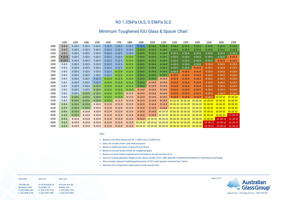#### **AGG NSW AGG VIC AGG TAS**

| 140 Gilba Rd      | 81-83 Rushdale St | 39 South Arm Rd   |
|-------------------|-------------------|-------------------|
| Girraween, NSW    | Knoxfield, VIC    | Rokeby, TAS       |
| P: (02) 9896 0566 | P: (03) 9730 7400 | P: (03) 6247 1625 |
| F: (02) 9896 0190 | F: (03) 9730 7488 | F: (03) 6247 6843 |



### N3 1.35kPa ULS, 0.55kPa SLS

### Minimum Toughened IGU Glass & Spacer Chart

### **Note:**

- Based on AS 4055 Wind Zone N3. 1.35kPa ULS, 0.55kPa SLS
- Does not include corner zone wind pressures
- Based on deflection limits of span/90 and 20mm
- Based on normal furnace limits for toughened glass
- Based on human impact requirements & limitations for ground level IGU's
- Does not include glazing at height as per clause 5.22(b) of AS 1288. Specifier to determine thickness of inner pane accordingly
- Also consider reduced insulating performance of IGU's with spacers narrower than 12mm
- Minimum IGU composition expressed as Outer-spacer-Inner

|      | 1200         | 1300         | 1400         | 1500         | 1600         | 1700         | 1800         | 1900           | 2000                                | 2100                                | 2200         | 2300              | 2400              | 2500           | 2600           | 2700           |
|------|--------------|--------------|--------------|--------------|--------------|--------------|--------------|----------------|-------------------------------------|-------------------------------------|--------------|-------------------|-------------------|----------------|----------------|----------------|
| 2000 | $4 - 8 - 4$  | $5 - 10 - 5$ | $5 - 10 - 5$ | $5 - 10 - 5$ | $5 - 12 - 5$ | $5 - 12 - 5$ | $5 - 12 - 5$ | $5 - 14 - 5$   | $6 - 14 - 6$                        | $6 - 14 - 6$                        | $6 - 14 - 6$ | $6 - 14 - 6$      | $6 - 14 - 6$      | $6 - 14 - 6$   | $6 - 14 - 6$   | $6 - 14 - 6$   |
| 2100 | $4 - 8 - 4$  | $5 - 10 - 5$ | $5 - 10 - 5$ | $5 - 10 - 5$ | $5 - 12 - 5$ | $5 - 12 - 5$ | $5 - 12 - 5$ | $6 - 14 - 6$   | $6 - 14 - 6$                        | $6 - 14 - 6$                        | $6 - 14 - 6$ | $6 - 14 - 6$      | $6 - 14 - 6$      | $6 - 14 - 6$   | $6 - 14 - 6$   | $6 - 14 - 6$   |
| 2200 | $4 - 8 - 4$  | $5 - 10 - 5$ | $5 - 10 - 5$ | $5 - 10 - 5$ | $5 - 12 - 5$ | $5 - 12 - 5$ | $5 - 12 - 5$ | $6 - 14 - 6$   | $6 - 14 - 6$                        | $6 - 14 - 6$                        | $6 - 16 - 6$ | $6 - 16 - 6$      | $6 - 16 - 6$      | $6 - 16 - 6$   | $6 - 16 - 6$   | $6 - 16 - 6$   |
| 2300 | $4 - 10 - 4$ | $5 - 10 - 5$ | $5 - 10 - 5$ | $5 - 10 - 5$ | $5 - 12 - 5$ | $5 - 12 - 5$ | $6 - 12 - 6$ | $6 - 14 - 6$   | $6 - 14 - 6$                        | $6 - 14 - 6$                        | $6 - 16 - 6$ | $6 - 16 - 6$      | $6 - 16 - 6$      | $6 - 16 - 6$   | $6 - 16 - 6$   | $8 - 16 - 8$   |
| 2400 | $4 - 10 - 4$ | $5 - 10 - 5$ | $5 - 10 - 5$ | $5 - 10 - 5$ | $5 - 12 - 5$ | $5 - 12 - 5$ | $6 - 12 - 6$ | $6 - 14 - 6$   | $6 - 14 - 6$                        | $6 - 14 - 6$                        | $6 - 16 - 6$ | $6 - 16 - 6$      | $6 - 16 - 6$      | $6 - 16 - 6$   | $8 - 16 - 8$   | $8 - 16 - 8$   |
| 2500 | $5 - 8 - 5$  | $5 - 10 - 5$ | $5 - 10 - 5$ | $5 - 10 - 5$ | $5 - 12 - 5$ | $5 - 12 - 5$ | $6 - 12 - 6$ | $6 - 14 - 6$   | $6 - 14 - 6$                        | $6 - 14 - 6$                        | $6 - 16 - 6$ | $6 - 16 - 6$      | $6 - 16 - 6$      | $8 - 18 - 8$   | $8 - 18 - 8$   | $8 - 18 - 8$   |
| 2600 | $5 - 8 - 5$  | $5 - 10 - 5$ | $5 - 10 - 5$ | $5 - 10 - 5$ | $5 - 12 - 5$ | $5 - 12 - 5$ | $6 - 12 - 6$ | $6 - 14 - 6$   | $6 - 14 - 6$                        | $6 - 14 - 6$                        | $6 - 16 - 6$ | $6 - 16 - 6$      | $8 - 16 - 8$      | $8 - 18 - 8$   | $8 - 18 - 8$   | $8 - 18 - 8$   |
| 2700 | $5 - 8 - 5$  | $5 - 10 - 5$ | $5 - 10 - 5$ | $5 - 10 - 5$ | $5 - 12 - 5$ | $6 - 12 - 6$ | $6 - 12 - 6$ | $6 - 14 - 6$   | $6 - 14 - 6$                        | $6 - 14 - 6$                        | $6 - 16 - 6$ | $8 - 16 - 8$      | $8 - 16 - 8$      | $8 - 18 - 8$   | $8 - 18 - 8$   | $8 - 18 - 8$   |
| 2800 | $5 - 8 - 5$  | $5 - 10 - 5$ | $5 - 10 - 5$ | $5 - 10 - 5$ | $5 - 12 - 5$ | $6 - 12 - 6$ | $6 - 12 - 6$ | $6 - 14 - 6$   | $6 - 14 - 6$                        | $6 - 14 - 6$                        | $8 - 16 - 8$ | $8 - 16 - 8$      | $8 - 16 - 8$      | $8 - 18 - 8$   | $8 - 18 - 8$   | $8 - 18 - 8$   |
| 2900 | $5 - 8 - 5$  | $5 - 10 - 5$ | $5 - 10 - 5$ | $5 - 12 - 5$ | $6 - 12 - 6$ | $6 - 12 - 6$ | $6 - 12 - 6$ | $6 - 14 - 6$   | $6 - 14 - 6$                        | $8 - 14 - 8$                        | $8 - 16 - 8$ | $8 - 16 - 8$      | $8 - 16 - 8$      | $8 - 18 - 8$   | $8 - 18 - 8$   | $8 - 18 - 8$   |
| 3000 | $5 - 8 - 5$  | $5 - 10 - 5$ | $5 - 10 - 5$ | $5 - 12 - 5$ | $6 - 12 - 6$ | $6 - 12 - 6$ | $6 - 12 - 6$ | $6 - 14 - 6$   | $8 - 14 - 8$                        | $8 - 14 - 8$                        | $8 - 16 - 8$ | $8 - 16 - 8$      | $8 - 16 - 8$      | $8 - 18 - 8$   | $8 - 18 - 8$   | $8 - 18 - 8$   |
| 3100 | $5 - 8 - 5$  | $5 - 10 - 5$ | $5 - 10 - 5$ | $6 - 10 - 6$ | $6 - 12 - 6$ | $6 - 12 - 6$ | $6 - 12 - 6$ | $6 - 14 - 6$   | $8 - 14 - 8$                        | $8 - 14 - 8$                        | $8 - 16 - 8$ | $8 - 16 - 8$      | $8 - 16 - 8$      | $8 - 18 - 8$   | $8 - 18 - 8$   | $8 - 18 - 8$   |
| 3200 | $5 - 8 - 5$  | $5 - 10 - 5$ | $5 - 10 - 5$ | $6 - 10 - 6$ | $6 - 12 - 6$ | $6 - 12 - 6$ | $6 - 12 - 6$ | $8 - 14 - 8$   | $8 - 14 - 8$                        | $8 - 14 - 8$                        | $8 - 16 - 8$ | $8 - 16 - 8$      | $8 - 16 - 8$      | $8 - 18 - 8$   | $8 - 18 - 8$   | $8 - 18 - 8$   |
| 3300 | $5 - 8 - 5$  | $5 - 10 - 5$ | $6 - 10 - 6$ | $6 - 10 - 6$ | $6 - 12 - 6$ | $6 - 12 - 6$ | $8 - 12 - 8$ | $8 - 14 - 8$   | $8 - 14 - 8$                        | $8 - 14 - 8$                        | $8 - 16 - 8$ | $8 - 16 - 8$      | $8 - 16 - 8$      | $8 - 18 - 8$   | $8 - 18 - 8$   | $8 - 18 - 8$   |
| 3500 | $5 - 8 - 5$  | $6 - 10 - 6$ | $6 - 10 - 6$ | $6 - 10 - 6$ | $6 - 12 - 6$ | $6 - 12 - 6$ | $8 - 12 - 8$ | $8 - 14 - 8$   | $8 - 14 - 8$                        | $8 - 14 - 8$                        | $8 - 16 - 8$ | $8 - 16 - 8$      | $8 - 16 - 8$      | $8 - 18 - 8$   | $10 - 18 - 10$ | $10 - 18 - 10$ |
| 3700 | $5 - 8 - 5$  | $6 - 10 - 6$ | $6 - 10 - 6$ | $6 - 10 - 6$ | $6 - 12 - 6$ | $8 - 12 - 8$ | $8 - 12 - 8$ | $8 - 14 - 8$   | $8 - 14 - 8$                        | $8 - 14 - 8$                        |              | 10-16-10 10-16-10 | $10 - 16 - 10$    | $10 - 18 - 10$ | $10 - 18 - 10$ | $10 - 18 - 10$ |
| 3900 | $6 - 8 - 6$  | $6 - 10 - 6$ | $6 - 10 - 6$ | $8 - 10 - 8$ | $8 - 12 - 8$ | $8 - 12 - 8$ | $8 - 12 - 8$ | $8 - 14 - 8$   | $8 - 14 - 8$                        | $8 - 14 - 8$                        |              | 10-16-10 10-16-10 | $10-16-10$        | $10 - 18 - 10$ | $10 - 18 - 10$ | $10 - 18 - 10$ |
| 4100 | $6 - 8 - 6$  | $6 - 10 - 6$ | $6 - 10 - 6$ | $8 - 10 - 8$ | $8 - 12 - 8$ | $8 - 12 - 8$ | $8 - 12 - 8$ | $8 - 14 - 8$   | $8 - 14 - 8$                        | $8 - 14 - 8$                        |              | 10-16-10 10-16-10 | $10 - 16 - 10$    | $10 - 18 - 10$ | $10 - 18 - 10$ | $10 - 18 - 10$ |
| 4300 | $6 - 8 - 6$  | $6 - 10 - 6$ | $8 - 10 - 8$ | $8 - 10 - 8$ | $8 - 12 - 8$ | $8 - 12 - 8$ | $8 - 12 - 8$ | $8 - 14 - 8$   | $8 - 14 - 8$                        | 10-14-10 10-16-10 10-16-10          |              |                   | 10-16-10 10-18-10 |                | $10 - 18 - 10$ | $10 - 18 - 10$ |
| 4500 | $6 - 8 - 6$  | $6 - 10 - 6$ | $8 - 10 - 8$ | $8 - 10 - 8$ | $8 - 12 - 8$ | $8 - 12 - 8$ | $8 - 12 - 8$ | $8 - 14 - 8$   | $8 - 14 - 8$                        | 10-14-10 10-16-10 10-16-10          |              |                   | 10-16-10 10-18-10 |                | $10 - 18 - 10$ | $12 - 18 - 12$ |
| 4700 | $6 - 8 - 6$  | $8 - 10 - 8$ | $8 - 10 - 8$ | $8 - 10 - 8$ | $8 - 12 - 8$ | $8 - 12 - 8$ | $8 - 12 - 8$ | $8 - 14 - 8$   | $10 - 14 - 10$                      | 10-14-10 10-16-10 10-16-10          |              |                   | 10-16-10 10-18-10 |                | $12 - 18 - 12$ | $12 - 18 - 12$ |
| 4900 | $6 - 8 - 6$  | $8 - 10 - 8$ | $8 - 10 - 8$ | $8 - 10 - 8$ | $8 - 12 - 8$ | $8 - 12 - 8$ | $8 - 12 - 8$ | $10-14-10$     |                                     | 10-14-10 10-14-10 10-16-10 10-16-10 |              |                   | $10 - 16 - 10$    | $12 - 18 - 12$ | $12 - 18 - 12$ | $12 - 18 - 12$ |
| 5000 | $6 - 8 - 6$  | $8 - 10 - 8$ | $8 - 10 - 8$ | $8 - 10 - 8$ | $8 - 12 - 8$ | $8 - 12 - 8$ | $8 - 12 - 8$ | $10 - 14 - 10$ | 10-14-10 10-14-10 10-16-10 10-16-10 |                                     |              |                   | $10-16-10$        | $12 - 18 - 12$ | $12 - 18 - 12$ | $12 - 18 - 12$ |

Page 5 of 9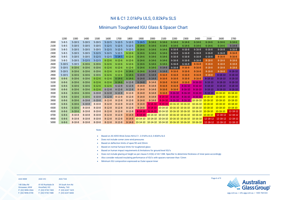P: (02) 9896 0566 F: (02) 9896 0190

| <b>AGG NSW</b>        | AGG VIC           | AGG TAS         |
|-----------------------|-------------------|-----------------|
| 140 Gilba Rd          | 81-83 Rushdale St | 39 South Arm Rd |
| <b>Girraween, NSW</b> | Knoxfield, VIC    | Rokeby, TAS     |

Knoxfield, VIC P: (03) 9730 7400 F: (03) 9730 7488 P: (03) 6247 1625



### N4 & C1 2.01kPa ULS, 0.82kPa SLS

### Minimum Toughened IGU Glass & Spacer Chart

**Note:**

- Based on AS 4055 Wind Zones N4 & C1. 2.01kPa ULS, 0.82kPa SLS
- **Does not** include corner zone wind pressures
- Based on deflection limits of span/90 and 20mm
- Based on normal furnace limits for toughened glass
- Based on human impact requirements & limitations for ground level IGU's
- **Does not** include glazing at height as per clause 5.22(b) of AS 1288. Specifier to determine thickness of inner pane accordingly
- Also consider reduced insulating performance of IGU's with spacers narrower than 12mm
- Minimum IGU composition expressed as Outer-spacer-Inner

|      | 1200         | 1300         | 1400         | 1500         | 1600         | 1700         | 1800         | 1900          | 2000           | 2100               | 2200          | 2300                                                          | 2400               | 2500             | 2600                       | 2700           |
|------|--------------|--------------|--------------|--------------|--------------|--------------|--------------|---------------|----------------|--------------------|---------------|---------------------------------------------------------------|--------------------|------------------|----------------------------|----------------|
| 2000 | $5 - 8 - 5$  | $5 - 10 - 5$ | $5 - 10 - 5$ | $5 - 10 - 5$ | $5 - 12 - 5$ | $5 - 12 - 5$ | $5 - 12 - 5$ | $5 - 14 - 5$  | $6 - 14 - 6$   | $6 - 14 - 6$       | $6 - 14 - 6$  | $6 - 14 - 6$                                                  | $6 - 14 - 6$       | $6 - 14 - 6$     | $6 - 14 - 6$               | $6 - 14 - 6$   |
| 2100 | $5 - 8 - 5$  | $5 - 10 - 5$ | $5 - 10 - 5$ | $5 - 10 - 5$ | $5 - 12 - 5$ | $5 - 12 - 5$ | $5 - 12 - 5$ | $6 - 14 - 6$  | $6 - 14 - 6$   | $6 - 14 - 6$       | $6 - 14 - 6$  | $6 - 14 - 6$                                                  | $6 - 14 - 6$       | $6 - 14 - 6$     | $6 - 14 - 6$               | $6 - 14 - 8$   |
| 2200 | $5 - 8 - 5$  | $5 - 10 - 5$ | $5 - 10 - 5$ | $5 - 10 - 5$ | $5 - 12 - 5$ | $5 - 12 - 5$ | $5 - 12 - 5$ | $6 - 14 - 6$  | $6 - 14 - 6$   | $6 - 14 - 6$       | $6 - 16 - 8$  | $6 - 16 - 8$                                                  | $6 - 16 - 8$       | $6 - 16 - 8$     | $6 - 16 - 8$               | $6 - 16 - 8$   |
| 2300 | $5 - 8 - 5$  | $5 - 10 - 5$ | $5 - 10 - 5$ | $5 - 12 - 5$ | $5 - 12 - 5$ | $5 - 12 - 5$ | $6 - 12 - 6$ | $6 - 14 - 6$  | $6 - 14 - 6$   | $6 - 14 - 6$       | $6 - 16 - 8$  | $6 - 16 - 8$                                                  | $6 - 16 - 8$       | $6 - 16 - 8$     | $6 - 16 - 8$               | $8 - 16 - 8$   |
| 2400 | $5 - 8 - 5$  | $5 - 10 - 5$ | $5 - 10 - 5$ | $5 - 12 - 5$ | $5 - 12 - 5$ | $5 - 14 - 5$ | $6 - 12 - 6$ | $6 - 14 - 6$  | $6 - 14 - 6$   | $6 - 14 - 6$       | $6 - 16 - 8$  | $6 - 16 - 8$                                                  | $6 - 16 - 8$       | $6 - 16 - 8$     | $8 - 16 - 8$               | $8 - 16 - 8$   |
| 2500 | $5 - 8 - 5$  | $5 - 10 - 5$ | $5 - 12 - 5$ | $5 - 12 - 5$ | $6 - 12 - 6$ | $6 - 12 - 6$ | $6 - 12 - 6$ | $6 - 14 - 6$  | $6 - 14 - 6$   | $6 - 14 - 6$       | $6 - 16 - 8$  | $6 - 16 - 8$                                                  | $6 - 16 - 8$       | $8 - 18 - 8$     | $8 - 18 - 8$               | $8 - 18 - 8$   |
| 2600 | $5 - 10 - 5$ | $5 - 10 - 5$ | $6 - 10 - 6$ | $6 - 10 - 6$ | $6 - 12 - 6$ | $6 - 12 - 6$ | $6 - 12 - 6$ | $6 - 14 - 6$  | $6 - 14 - 6$   | $6 - 14 - 6$       | $6 - 16 - 8$  | $6 - 16 - 8$                                                  | $8 - 16 - 8$       | $8 - 18 - 8$     | $8 - 18 - 8$               | $8 - 18 - 8$   |
| 2700 | $5 - 10 - 5$ | $6 - 10 - 6$ | $6 - 10 - 6$ | $6 - 10 - 6$ | $6 - 12 - 6$ | $6 - 12 - 6$ | $6 - 12 - 6$ | $6 - 14 - 6$  | $6 - 14 - 6$   | $6 - 14 - 8$       | $6 - 16 - 8$  | $8 - 16 - 8$                                                  | $8 - 16 - 8$       | $8 - 18 - 8$     | $8 - 18 - 8$               | $8 - 18 - 8$   |
| 2800 | $5 - 10 - 5$ | $6 - 10 - 6$ | $6 - 10 - 6$ | $6 - 10 - 6$ | $6 - 12 - 6$ | $6 - 12 - 6$ | $6 - 14 - 6$ | $6 - 14 - 6$  | $6 - 14 - 8$   | $6 - 14 - 8$       | $8 - 16 - 8$  | $8 - 16 - 8$                                                  | $8 - 16 - 8$       | $8 - 18 - 8$     | $8 - 18 - 8$               | $8 - 18 - 10$  |
| 2900 | $5 - 10 - 5$ | $6 - 10 - 6$ | $6 - 10 - 6$ | $6 - 10 - 6$ | $6 - 12 - 6$ | $6 - 12 - 6$ | $6 - 14 - 6$ | $6 - 14 - 8$  | $6 - 14 - 8$   | $8 - 16 - 8$       | $8 - 16 - 8$  | $8 - 16 - 8$                                                  | $8 - 16 - 8$       | $8 - 18 - 8$     | $8 - 18 - 10$              | $8 - 18 - 10$  |
| 3000 | $6 - 8 - 6$  | $6 - 10 - 6$ | $6 - 10 - 6$ | $6 - 12 - 6$ | $6 - 12 - 6$ | $6 - 14 - 6$ | $6 - 14 - 6$ | $6 - 14 - 8$  | $6 - 14 - 8$   | $8 - 16 - 8$       | $8 - 16 - 8$  | $8 - 16 - 8$                                                  | $8 - 16 - 8$       | $8 - 18 - 10$    | $8 - 18 - 10$              | $8 - 18 - 10$  |
| 3100 | $6 - 8 - 6$  | $6 - 10 - 6$ | $6 - 10 - 6$ | $6 - 12 - 6$ | $6 - 12 - 6$ | $6 - 14 - 6$ | $6 - 12 - 8$ | $6 - 14 - 8$  | $8 - 14 - 8$   | $8 - 16 - 8$       | $8 - 16 - 8$  | $8 - 16 - 8$                                                  | $8 - 16 - 10$      | $8 - 18 - 10$    | $8 - 18 - 10$              | $8 - 18 - 10$  |
| 3200 | $6 - 8 - 6$  | $6 - 10 - 6$ | $6 - 10 - 6$ | $6 - 12 - 6$ | $6 - 12 - 6$ | $6 - 12 - 8$ | $6 - 12 - 8$ | $8 - 14 - 8$  | $8 - 14 - 8$   | $8 - 16 - 8$       | $8 - 16 - 8$  | $8 - 16 - 10$                                                 | $8 - 16 - 10$      | $8 - 18 - 10$    | $8 - 18 - 10$              | $8 - 18 - 10$  |
| 3300 | $6 - 8 - 6$  | $6 - 10 - 6$ | $6 - 10 - 6$ | $6 - 12 - 6$ | $6 - 12 - 8$ | $6 - 12 - 8$ | $6 - 12 - 8$ | $8 - 14 - 8$  | $8 - 14 - 8$   | $8 - 16 - 8$       | $8 - 16 - 8$  | $8 - 16 - 10$                                                 | $8 - 16 - 10$      | $8 - 18 - 10$    | $8 - 18 - 10$              | $8 - 18 - 10$  |
| 3500 | $6 - 8 - 6$  | $6 - 10 - 6$ | $6 - 10 - 6$ | $6 - 10 - 8$ | $6 - 12 - 8$ | $6 - 12 - 8$ | $8 - 12 - 8$ | $8 - 14 - 8$  | $8 - 14 - 8$   | $8 - 16 - 8$       | $8 - 16 - 10$ | $8 - 16 - 10$                                                 | $8 - 16 - 10$      | $8 - 18 - 10$    | $10 - 18 - 10$             | $10 - 18 - 10$ |
| 3700 | $6 - 8 - 6$  | $6 - 10 - 6$ | $6 - 10 - 6$ | $6 - 10 - 8$ | $6 - 12 - 8$ | $8 - 12 - 8$ | $8 - 12 - 8$ | $8 - 14 - 8$  | $8 - 14 - 8$   | $8 - 14 - 10$      | $8 - 16 - 10$ | $8 - 16 - 10$                                                 |                    | 8-16-10 10-18-10 | $10 - 18 - 10$             | $10 - 18 - 10$ |
| 3900 | $6 - 8 - 6$  | $6 - 10 - 6$ | $6 - 10 - 8$ | $6 - 10 - 8$ | $8 - 12 - 8$ | $8 - 12 - 8$ | $8 - 12 - 8$ | $8 - 14 - 8$  | $8 - 14 - 8$   | $8 - 14 - 10$      | $8 - 16 - 10$ |                                                               | $8-16-10$ 10-16-10 | $10 - 18 - 10$   | $10 - 18 - 10$             | $10 - 18 - 10$ |
| 4100 | $6 - 8 - 6$  | $6 - 10 - 6$ | $6 - 10 - 8$ | $8 - 10 - 8$ | $8 - 12 - 8$ | $8 - 12 - 8$ | $8 - 12 - 8$ | $8 - 14 - 8$  | $8 - 14 - 10$  |                    |               | 8-14-10 10-16-10 10-16-10                                     | $10-16-10$         | $10 - 18 - 10$   | $10 - 18 - 10$             | $10 - 18 - 10$ |
| 4300 | $6 - 8 - 6$  | $6 - 10 - 6$ | $8 - 10 - 8$ | $8 - 10 - 8$ | $8 - 12 - 8$ | $8 - 12 - 8$ | $8 - 12 - 8$ | $8 - 14 - 8$  |                | $8-14-10$ 10-14-10 |               | 10-16-10 10-16-10                                             | $10 - 16 - 10$     | $10 - 18 - 10$   | $10 - 18 - 10$             | $10 - 18 - 10$ |
| 4500 | $6 - 8 - 6$  | $6 - 10 - 6$ | $8 - 10 - 8$ | $8 - 10 - 8$ | $8 - 12 - 8$ | $8 - 12 - 8$ | $8 - 12 - 8$ | $8 - 14 - 10$ |                |                    |               | 8-14-10 10-14-10 10-16-10 10-16-10                            | 10-16-10 10-18-10  |                  | $10 - 18 - 10$             | $12 - 18 - 12$ |
| 4700 | $6 - 8 - 6$  | $8 - 10 - 8$ | $8 - 10 - 8$ | $8 - 10 - 8$ | $8 - 12 - 8$ | $8 - 12 - 8$ | $8 - 14 - 8$ |               |                |                    |               | 8-14-10 10-14-10 10-14-10 10-16-10 10-16-10 10-16-10 10-18-10 |                    |                  | $12 - 18 - 12$             | $12 - 18 - 12$ |
| 4900 | $6 - 8 - 6$  | $8 - 10 - 8$ | $8 - 10 - 8$ | $8 - 10 - 8$ | $8 - 12 - 8$ | $8 - 12 - 8$ | $8 - 14 - 8$ | $10-14-10$    | $10 - 14 - 10$ |                    |               | 10-14-10 10-16-10 10-16-10                                    | $10 - 16 - 10$     | $12 - 18 - 12$   | $12 - 18 - 12$             | $12 - 18 - 12$ |
| 5000 | $6 - 8 - 6$  | $8 - 10 - 8$ | $8 - 10 - 8$ | $8 - 10 - 8$ | $8 - 12 - 8$ | $8 - 12 - 8$ | $8 - 14 - 8$ |               |                |                    |               | 10-14-10 10-14-10 10-14-10 10-16-10 10-16-10 10-16-10         |                    |                  | 12-18-12 12-18-12 12-18-12 |                |

Page 6 of 9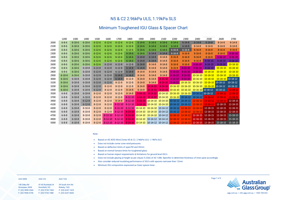#### **AGG NSW AGG VIC AGG TAS**

| 140 Gilba Rd      | 81-83 Rushdale St | 39 South Arm Rd   |
|-------------------|-------------------|-------------------|
| Girraween, NSW    | Knoxfield, VIC    | Rokeby, TAS       |
| P: (02) 9896 0566 | P: (03) 9730 7400 | P: (03) 6247 1625 |
| F: (02) 9896 0190 | F: (03) 9730 7488 | F: (03) 6247 6843 |



### N5 & C2 2.96kPa ULS, 1.19kPa SLS

### Minimum Toughened IGU Glass & Spacer Chart

### **Note:**

- Based on AS 4055 Wind Zones N5 & C2. 2.96kPa ULS, 1.19kPa SLS
- **Does not** include corner zone wind pressures
- Based on deflection limits of span/90 and 20mm
- Based on normal furnace limits for toughened glass
- Based on human impact requirements & limitations for ground level IGU's
- **Does not** include glazing at height as per clause 5.22(b) of AS 1288. Specifier to determine thickness of inner pane accordingly
- Also consider reduced insulating performance of IGU's with spacers narrower than 12mm
- Minimum IGU composition expressed as Outer-spacer-Inner

|      | 1200         | 1300         | 1400         | 1500         | 1600          | 1700          | 1800          | 1900                   | 2000                               | 2100                                | 2200                | 2300                                | 2400                | 2500                                         | 2600           | 2700           |
|------|--------------|--------------|--------------|--------------|---------------|---------------|---------------|------------------------|------------------------------------|-------------------------------------|---------------------|-------------------------------------|---------------------|----------------------------------------------|----------------|----------------|
| 2000 | $6 - 8 - 6$  | $6 - 10 - 6$ | $6 - 10 - 6$ | $6 - 12 - 6$ | $6 - 12 - 6$  | $6 - 12 - 6$  | $6 - 12 - 6$  | $6 - 14 - 6$           | $6 - 14 - 6$                       | $6 - 14 - 6$                        | $6 - 14 - 6$        | $6 - 14 - 8$                        | $6 - 14 - 8$        | $6 - 14 - 8$                                 | $8 - 14 - 8$   | $8 - 14 - 8$   |
| 2100 | $6 - 8 - 6$  | $6 - 10 - 6$ | $6 - 10 - 6$ | $6 - 12 - 6$ | $6 - 12 - 6$  | $6 - 12 - 6$  | $6 - 12 - 6$  | $6 - 14 - 6$           | $6 - 14 - 6$                       | $6 - 14 - 6$                        | $6 - 14 - 6$        | $6 - 14 - 8$                        | $8 - 14 - 8$        | $8 - 14 - 8$                                 | $8 - 14 - 8$   | $8 - 14 - 8$   |
| 2200 | $6 - 8 - 6$  | $6 - 10 - 6$ | $6 - 10 - 6$ | $6 - 12 - 6$ | $6 - 12 - 6$  | $6 - 12 - 6$  | $6 - 12 - 6$  | $6 - 14 - 6$           | $6 - 14 - 6$                       | $6 - 14 - 6$                        | $6 - 16 - 8$        | $6 - 16 - 8$                        | $8 - 16 - 8$        | $8 - 16 - 8$                                 | $8 - 16 - 8$   | $8 - 16 - 8$   |
| 2300 | $6 - 8 - 6$  | $6 - 10 - 6$ | $6 - 10 - 6$ | $6 - 12 - 6$ | $6 - 12 - 6$  | $6 - 12 - 6$  | $6 - 14 - 6$  | $6 - 14 - 6$           | $6 - 14 - 8$                       | $6 - 14 - 8$                        | $6 - 16 - 8$        | $8 - 16 - 8$                        | $8 - 16 - 8$        | $8 - 16 - 8$                                 | $8 - 16 - 8$   | $8 - 16 - 10$  |
| 2400 | $6 - 8 - 6$  | $6 - 10 - 6$ | $6 - 10 - 6$ | $6 - 12 - 6$ | $6 - 12 - 6$  | $6 - 12 - 6$  | $6 - 14 - 6$  | $6 - 14 - 8$           | $6 - 14 - 8$                       | $8 - 14 - 8$                        | $8 - 16 - 8$        | $8 - 16 - 8$                        | $8 - 16 - 8$        | $8 - 16 - 8$                                 | $8 - 16 - 10$  | $8 - 16 - 10$  |
| 2500 | $6 - 8 - 6$  | $6 - 10 - 6$ | $6 - 10 - 6$ | $6 - 12 - 6$ | $6 - 12 - 6$  | $6 - 12 - 6$  | $6 - 14 - 6$  | $6 - 14 - 8$           | $6 - 14 - 8$                       | $8 - 14 - 8$                        | $8 - 16 - 8$        | $8 - 16 - 8$                        | $8 - 16 - 8$        | $8 - 18 - 10$                                | $8 - 18 - 10$  | $8 - 18 - 10$  |
| 2600 | $6 - 8 - 6$  | $6 - 10 - 6$ | $6 - 10 - 6$ | $6 - 12 - 6$ | $6 - 12 - 8$  | $6 - 12 - 8$  | $6 - 12 - 8$  | $6 - 14 - 8$           | $8 - 14 - 8$                       | $8 - 14 - 8$                        | $8 - 16 - 8$        | $8 - 16 - 8$                        | $8 - 16 - 10$       | $8 - 18 - 10$                                | $8 - 18 - 10$  | $10 - 18 - 10$ |
| 2700 | $6 - 8 - 6$  | $6 - 10 - 6$ | $6 - 10 - 8$ | $6 - 12 - 8$ | $6 - 12 - 8$  | $6 - 12 - 8$  | $6 - 14 - 8$  | $6 - 14 - 8$           | $8 - 14 - 8$                       | $8 - 14 - 8$                        | $8 - 16 - 8$        | $8 - 16 - 10$                       | $8 - 16 - 10$       | $8 - 18 - 10$                                | $10 - 18 - 10$ | $10 - 18 - 10$ |
| 2800 | $6 - 8 - 6$  | $6 - 10 - 6$ | $6 - 10 - 8$ | $6 - 12 - 8$ | $6 - 12 - 8$  | $6 - 12 - 8$  | $6 - 14 - 8$  | $8 - 14 - 8$           | $8 - 14 - 8$                       | $8 - 14 - 8$                        | $8 - 16 - 10$       | $8 - 16 - 10$                       | $8 - 16 - 10$       | $10 - 18 - 10$                               | $10 - 18 - 10$ | $10 - 18 - 10$ |
| 2900 | $6 - 10 - 6$ | $6 - 10 - 6$ | $6 - 10 - 8$ | $6 - 12 - 8$ | $6 - 12 - 8$  | $6 - 14 - 8$  | $6 - 14 - 8$  | $8 - 14 - 8$           | $8 - 14 - 8$                       | $8 - 14 - 8$                        | $8 - 16 - 10$       | $8 - 16 - 10$                       | $10 - 16 - 10$      | $10 - 18 - 10$                               | $10 - 18 - 10$ | $10 - 18 - 10$ |
| 3000 | $6 - 10 - 6$ | $6 - 10 - 8$ | $6 - 10 - 8$ | $6 - 12 - 8$ | $6 - 12 - 8$  | $6 - 14 - 8$  | $8 - 12 - 8$  | $8 - 14 - 8$           | $8 - 14 - 8$                       | $8 - 14 - 10$                       | $8 - 16 - 10$       | $8 - 16 - 10$                       | $10-16-10$          | $10 - 18 - 10$                               | $10 - 18 - 10$ | $10-18-12$     |
| 3100 | $6 - 10 - 6$ | $6 - 10 - 8$ | $6 - 10 - 8$ | $6 - 12 - 8$ | $6 - 12 - 8$  | $8 - 12 - 8$  | $8 - 12 - 8$  | $8 - 14 - 8$           | $8 - 14 - 8$                       | $8 - 14 - 10$                       |                     | 8-16-10 10-16-10                    |                     | $10-16-10$ $10-18-10$                        | $10 - 18 - 12$ | $10-18-12$     |
| 3200 | $6 - 10 - 6$ | $6 - 10 - 8$ | $6 - 10 - 8$ | $6 - 12 - 8$ | $8 - 12 - 8$  | $8 - 12 - 8$  | $8 - 12 - 8$  | $8 - 14 - 8$           | $8 - 14 - 10$                      | $8 - 14 - 10$                       | $10-16-10$ 10-16-10 |                                     |                     | 10-16-10 10-18-10                            | $10 - 18 - 12$ | $10-18-12$     |
| 3300 | $6 - 10 - 6$ | $6 - 10 - 8$ | $6 - 10 - 8$ | $6 - 12 - 8$ | $8 - 12 - 8$  | $8 - 12 - 8$  | $8 - 14 - 8$  | $8 - 14 - 8$           | $8 - 14 - 10$                      |                                     |                     | 8-14-10 10-16-10 10-16-10           | $10-16-10$ 10-18-12 |                                              | 10-18-12       | $12 - 18 - 12$ |
| 3500 | $6 - 8 - 8$  | $6 - 10 - 8$ | $6 - 10 - 8$ | $8 - 12 - 8$ | $8 - 12 - 8$  | $8 - 12 - 8$  | $8 - 14 - 8$  | $8 - 14 - 10$          |                                    |                                     |                     | 8-14-10 10-14-10 10-16-10 10-16-10  | 10-16-12 10-18-12   |                                              | $12 - 18 - 12$ | $12 - 18 - 12$ |
| 3700 | $6 - 8 - 8$  | $6 - 10 - 8$ | $6 - 10 - 8$ | $8 - 12 - 8$ | $8 - 12 - 8$  | $8 - 12 - 8$  | $8 - 12 - 10$ | $8 - 14 - 10$          |                                    |                                     |                     | 8-14-10 10-14-10 10-16-10 10-16-12  | $10-16-12$          | $12 - 18 - 12$                               | $12 - 18 - 12$ | $12 - 18 - 12$ |
| 3900 | $6 - 8 - 8$  | $6 - 10 - 8$ | $6 - 12 - 8$ | $8 - 12 - 8$ | $8 - 12 - 8$  | $8 - 14 - 8$  | $8 - 12 - 10$ | $8 - 14 - 10$          |                                    |                                     |                     | 10-14-10 10-14-10 10-16-12 10-16-12 | $12 - 16 - 12$      | $12 - 18 - 12$                               | $12 - 18 - 12$ | $12 - 18 - 15$ |
| 4100 | $6 - 8 - 8$  | $6 - 10 - 8$ | $6 - 12 - 8$ | $8 - 12 - 8$ | $8 - 12 - 8$  | $8 - 12 - 10$ | $8 - 12 - 10$ | $8 - 14 - 10$          | $10 - 14 - 10$                     | $10-14-10$                          |                     | 10-16-12 10-16-12                   | $12 - 16 - 12$      | $12 - 18 - 12$                               | $12 - 18 - 15$ | 12-18-15       |
| 4300 | $6 - 8 - 8$  | $6 - 10 - 8$ | $8 - 10 - 8$ | $8 - 12 - 8$ | $8 - 12 - 8$  | $8 - 12 - 10$ |               | 8-12-10 10-14-10       |                                    | 10-14-10 10-14-12 10-16-12 12-16-12 |                     |                                     | $12 - 16 - 12$      | $12 - 18 - 15$                               | $12 - 18 - 15$ | 12-18-15       |
| 4500 | $6 - 8 - 8$  | $6 - 10 - 8$ | $8 - 10 - 8$ | $8 - 12 - 8$ | $8 - 12 - 8$  | $8 - 12 - 10$ |               | $8-14-10$ 10-14-10     |                                    | $10-14-10$ 10-14-12                 | $10-16-12$          | $12 - 16 - 12$                      | $12 - 16 - 12$      | $12 - 18 - 15$                               | $12 - 18 - 15$ | 12-18-15       |
| 4700 | $6 - 8 - 8$  | $6 - 10 - 8$ | $8 - 10 - 8$ | $8 - 12 - 8$ | $8 - 12 - 10$ | $8 - 12 - 10$ |               | $8-14-10$ 10-14-10     |                                    | $10-14-10$ 10-14-12                 | $12 - 16 - 12$      | $12 - 16 - 12$                      | $12 - 16 - 15$      | $12 - 18 - 15$                               | $12 - 18 - 15$ | $15 - 18 - 15$ |
| 4900 | $6 - 8 - 8$  | $6 - 10 - 8$ | $8 - 10 - 8$ | $8 - 12 - 8$ | $8 - 12 - 10$ | $8 - 12 - 10$ |               | $8 - 14 - 10$ 10-14-10 |                                    | 10-14-12 10-14-12                   | $12 - 16 - 12$      | $12 - 16 - 12$                      | $12 - 16 - 15$      | $12 - 18 - 15$                               | $12 - 18 - 15$ | $15 - 18 - 15$ |
| 5000 | $6 - 8 - 8$  | $6 - 10 - 8$ | $8 - 10 - 8$ | $8 - 12 - 8$ | $8 - 12 - 10$ | $8 - 12 - 10$ |               |                        | 8-14-10 10-14-10 10-14-12 10-14-12 |                                     |                     |                                     |                     | 12-16-12 12-16-12 12-16-15 12-18-15 15-18-15 |                | 15-18-15       |

Page 7 of 9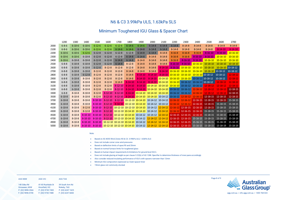**AGG NSW AGG VIC AGG TAS**

| 140 Gilba Rd      | 81-83 Rushdale St | 39 South Arm Rd   |
|-------------------|-------------------|-------------------|
| Girraween, NSW    | Knoxfield, VIC    | Rokeby, TAS       |
| P: (02) 9896 0566 | P: (03) 9730 7400 | P: (03) 6247 1625 |
| F: (02) 9896 0190 | F: (03) 9730 7488 | F: (03) 6247 6843 |

| 2600             | 2700             |  |  |  |  |  |
|------------------|------------------|--|--|--|--|--|
| $8 - 14 - 8$     | $8 - 14 - 8$     |  |  |  |  |  |
| 8-14-10          | $8 - 14 - 10$    |  |  |  |  |  |
| 8-16-10          | $10 - 16 - 10$   |  |  |  |  |  |
| 10-16-10         | <u> 10-16-10</u> |  |  |  |  |  |
| <u> 10-16-10</u> | 10-16-10         |  |  |  |  |  |
| 10-18-10         | 10-18-10         |  |  |  |  |  |
| 10-18-10         | 10-18-12         |  |  |  |  |  |
| $10 - 18 - 12$   | 10-18-12         |  |  |  |  |  |
| 10-18-12         | $12 - 18 - 12$   |  |  |  |  |  |
| 10-18-12         | 12-18-12         |  |  |  |  |  |
| 12-18-12         | 12-18-12         |  |  |  |  |  |
| 12-18-12         | 12-18-12         |  |  |  |  |  |
| 12-18-12         | 12-18-15         |  |  |  |  |  |
| 12-18-12         | 12-18-15         |  |  |  |  |  |
| 12-18-15         | 12-18-15         |  |  |  |  |  |
| 12-18-15         | 15-18-15         |  |  |  |  |  |
| 15-18-15         | 15-18-15         |  |  |  |  |  |
| $15 - 18 - 15$   | 15-18-15         |  |  |  |  |  |
| 15-18-15         | 15-18-15         |  |  |  |  |  |
| 15-18-15         | 15-18-19         |  |  |  |  |  |
| 15-18-15         | 15-18-19         |  |  |  |  |  |
| 15-18-19         | 15-18-19         |  |  |  |  |  |
| 15-18-19         | 15-18-19         |  |  |  |  |  |



### N6 & C3 3.99kPa ULS, 1.63kPa SLS

### Minimum Toughened IGU Glass & Spacer Chart

**Note:**

- Based on AS 4055 Wind Zones N5 & C3. 3.99kPa ULS, 1.63kPa SLS
- **Does not** include corner zone wind pressures
- Based on deflection limits of span/90 and 20mm
- Based on normal furnace limits for toughened glass
- Based on human impact requirements & limitations for ground level IGU's
- **Does not** include glazing at height as per clause 5.22(b) of AS 1288. Specifier to determine thickness of inner pane accordingly
- Also consider reduced insulating performance of IGU's with spacers narrower than 12mm
- Minimum IGU composition expressed as Outer-spacer-Inner
- 19mm glass not commonly stocked

|      | 1200         | 1300         | 1400          | 1500          | 1600          | 1700          | 1800                                | 1900          | 2000                                                 | 2100          | 2200          | 2300                                                                            | 2400           | 2500                                                                                     | 2600                                                                                                                         | 2700           |
|------|--------------|--------------|---------------|---------------|---------------|---------------|-------------------------------------|---------------|------------------------------------------------------|---------------|---------------|---------------------------------------------------------------------------------|----------------|------------------------------------------------------------------------------------------|------------------------------------------------------------------------------------------------------------------------------|----------------|
| 2000 | $6 - 8 - 6$  | $6 - 10 - 6$ | $6 - 10 - 6$  | $6 - 12 - 6$  | $6 - 12 - 6$  | $6 - 12 - 6$  | $6 - 14 - 6$                        | $6 - 14 - 6$  | $6 - 14 - 8$                                         | $6 - 14 - 8$  | $6 - 14 - 8$  | $8 - 14 - 8$                                                                    | $8 - 14 - 8$   | $8 - 14 - 8$                                                                             | $8 - 14 - 8$                                                                                                                 | $8 - 14 - 8$   |
| 2100 | $6 - 8 - 6$  | $6 - 10 - 6$ | $6 - 10 - 6$  | $6 - 12 - 6$  | $6 - 12 - 6$  | $6 - 14 - 6$  | $6 - 14 - 6$                        | $6 - 14 - 8$  | $6 - 14 - 8$                                         | $6 - 14 - 8$  | $8 - 14 - 8$  | $8 - 14 - 8$                                                                    | $8 - 14 - 8$   | $8 - 14 - 8$                                                                             | $8 - 14 - 10$                                                                                                                | $8 - 14 - 10$  |
| 2200 | $6 - 10 - 6$ | $6 - 10 - 6$ | $6 - 12 - 6$  | $6 - 12 - 8$  | $6 - 12 - 8$  | $6 - 12 - 8$  | $6 - 12 - 8$                        | $6 - 14 - 8$  | $6 - 14 - 8$                                         | $8 - 14 - 8$  | $8 - 16 - 8$  | $8 - 16 - 8$                                                                    | $8 - 16 - 8$   | $8 - 16 - 10$                                                                            | $8 - 16 - 10$                                                                                                                | $10 - 16 - 10$ |
| 2300 | $6 - 10 - 6$ | $6 - 10 - 6$ | $6 - 10 - 8$  | $6 - 12 - 8$  | $6 - 12 - 8$  | $6 - 12 - 8$  | $6 - 14 - 8$                        | $6 - 14 - 8$  | $8 - 14 - 8$                                         | $8 - 14 - 8$  | $8 - 16 - 8$  | $8 - 16 - 8$                                                                    | $8 - 16 - 10$  | $8 - 16 - 10$                                                                            | $10 - 16 - 10$                                                                                                               | $10 - 16 - 10$ |
| 2400 | $6 - 10 - 6$ | $6 - 10 - 8$ | $6 - 10 - 8$  | $6 - 12 - 8$  | $6 - 12 - 8$  | $6 - 14 - 8$  | $6 - 14 - 8$                        | $8 - 14 - 8$  | $8 - 14 - 8$                                         | $8 - 14 - 8$  | $8 - 16 - 8$  | $8 - 16 - 10$                                                                   | $8 - 16 - 10$  | $10 - 16 - 10$                                                                           | $10 - 16 - 10$                                                                                                               | $10 - 16 - 10$ |
| 2500 | $6 - 8 - 8$  | $6 - 10 - 8$ | $6 - 10 - 8$  | $6 - 12 - 8$  | $6 - 12 - 8$  | $6 - 14 - 8$  | $8 - 12 - 8$                        | $8 - 14 - 8$  | $8 - 14 - 8$                                         | $8 - 14 - 8$  | $8 - 16 - 10$ | $8 - 16 - 10$                                                                   | $10 - 16 - 10$ | $10 - 18 - 10$                                                                           | $10 - 18 - 10$                                                                                                               | $10 - 18 - 10$ |
| 2600 | $6 - 8 - 8$  | $6 - 10 - 8$ | $6 - 10 - 8$  | $6 - 12 - 8$  | $8 - 12 - 8$  | $8 - 12 - 8$  | $8 - 12 - 8$                        | $8 - 14 - 8$  | $8 - 14 - 8$                                         | $8 - 14 - 10$ | $8 - 16 - 10$ | $10 - 16 - 10$                                                                  |                | $10-16-10$ $10-18-10$                                                                    | 10-18-10 10-18-12                                                                                                            |                |
| 2700 | $6 - 8 - 8$  | $6 - 10 - 8$ | $6 - 10 - 8$  | $8 - 12 - 8$  | $8 - 12 - 8$  | $8 - 12 - 8$  | $8 - 14 - 8$                        | $8 - 14 - 8$  | $8 - 14 - 8$                                         |               |               |                                                                                 |                | 8-14-10 10-16-10 10-16-10 10-16-10 10-18-10                                              | $10-18-12$                                                                                                                   | $10-18-12$     |
| 2800 | $6 - 8 - 8$  | $6 - 10 - 8$ | $6 - 12 - 8$  | $8 - 12 - 8$  | $8 - 12 - 8$  | $8 - 12 - 8$  | $8 - 14 - 8$                        | $8 - 14 - 10$ | $8 - 14 - 10$                                        |               |               | 8-14-10 10-16-10 10-16-10 10-16-10 10-18-12                                     |                |                                                                                          | $10 - 18 - 12$                                                                                                               | $12 - 18 - 12$ |
| 2900 | $6 - 8 - 8$  | $6 - 10 - 8$ | $8 - 10 - 8$  | $8 - 12 - 8$  | $8 - 12 - 8$  | $8 - 12 - 8$  | $8 - 14 - 8$                        | $8 - 14 - 10$ |                                                      |               |               | 8-14-10 10-14-10 10-16-10 10-16-10 10-16-12 10-18-12                            |                |                                                                                          | $10 - 18 - 12$                                                                                                               | $12 - 18 - 12$ |
| 3000 | $6 - 8 - 8$  | $6 - 10 - 8$ | $8 - 10 - 8$  | $8 - 12 - 8$  | $8 - 12 - 8$  | $8 - 14 - 8$  | $8 - 14 - 10$                       | $8 - 14 - 10$ |                                                      |               |               | 8-14-10 10-14-10 10-16-10 10-16-12 10-16-12 10-18-12                            |                |                                                                                          | $12 - 18 - 12$                                                                                                               | $12 - 18 - 12$ |
| 3100 | $6 - 8 - 8$  | $6 - 10 - 8$ | $8 - 10 - 8$  | $8 - 12 - 8$  | $8 - 12 - 8$  | $8 - 12 - 10$ | $8 - 14 - 10$                       |               |                                                      |               |               | 8-14-10 10-14-10 10-14-10 10-16-10 10-16-12 10-16-12                            |                | $12 - 18 - 12$                                                                           | $12 - 18 - 12$                                                                                                               | $12 - 18 - 12$ |
| 3200 | $6 - 8 - 8$  | $6 - 10 - 8$ | $8 - 10 - 8$  | $8 - 12 - 8$  | $8 - 12 - 8$  | $8 - 12 - 10$ | $8 - 14 - 10$                       |               |                                                      |               |               |                                                                                 |                | 8-14-10 10-14-10 10-14-10 10-16-12 10-16-12 12-16-12 12-18-12                            | $12 - 18 - 12$                                                                                                               | 12-18-15       |
| 3300 | $6 - 8 - 8$  | $8 - 10 - 8$ | $8 - 10 - 8$  | $8 - 12 - 8$  | $8 - 12 - 10$ | $8 - 12 - 10$ |                                     |               |                                                      |               |               | 8-14-10 10-14-10 10-14-10 10-14-10 10-16-12 10-16-12                            |                | $12 - 16 - 12$ $12 - 18 - 12$                                                            | $12 - 18 - 12$                                                                                                               | $12 - 18 - 15$ |
| 3500 | $6 - 10 - 8$ | $8 - 10 - 8$ | $8 - 10 - 8$  | $8 - 12 - 8$  | $8 - 12 - 10$ | $8 - 12 - 10$ |                                     |               | 8-14-10 10-14-10 10-14-10 10-14-12 10-16-12 12-16-12 |               |               |                                                                                 | $12 - 16 - 12$ | $12 - 18 - 15$                                                                           | $12 - 18 - 15$                                                                                                               | 12-18-15       |
| 3700 | $6 - 10 - 8$ | $8 - 10 - 8$ | $8 - 10 - 8$  | $8 - 10 - 10$ | $8 - 12 - 10$ | $8 - 12 - 10$ |                                     |               | 10-12-10 10-14-10 10-14-12 10-14-12                  |               |               | 12-16-12 12-16-12                                                               | $12 - 16 - 15$ | $12 - 18 - 15$                                                                           | 12-18-15 15-18-15                                                                                                            |                |
| 3900 | $6 - 10 - 8$ | $8 - 10 - 8$ | $8 - 10 - 8$  | $8 - 10 - 10$ | $8 - 12 - 10$ |               |                                     |               | 8-14-10 10-12-10 10-14-10 10-14-12 10-14-12          |               |               | 12-16-12 12-16-12                                                               | $12 - 16 - 15$ | $12 - 18 - 15$                                                                           | $15 - 18 - 15$                                                                                                               | 15-18-15       |
| 4100 | $6 - 10 - 8$ | $8 - 10 - 8$ | $8 - 12 - 8$  | $8 - 10 - 10$ |               |               |                                     |               |                                                      |               |               | 8-12-10 10-12-10 10-12-10 10-14-10 10-14-12 12-14-12 12-16-12 12-16-15          |                | $12 - 16 - 15$ 12-18-15                                                                  | $15 - 18 - 15$                                                                                                               | 15-18-15       |
| 4300 | $6 - 10 - 8$ | $8 - 10 - 8$ | $8 - 12 - 8$  | $8 - 10 - 10$ |               |               |                                     |               |                                                      |               |               | 8-12-10 10-12-10 10-14-10 10-14-10 10-14-12 12-14-12 12-16-12 12-16-15 12-16-15 |                | $15 - 18 - 15$                                                                           | $15 - 18 - 15$                                                                                                               | 15-18-15       |
| 4500 | $6 - 10 - 8$ | $8 - 10 - 8$ | $8 - 10 - 10$ | $8 - 10 - 10$ |               |               |                                     |               |                                                      |               |               |                                                                                 |                | 8-12-10 10-12-10 10-14-10 10-14-12 10-14-12 12-14-12 12-16-15 12-16-15 12-16-15 15-18-15 | $15 - 18 - 15$                                                                                                               | 15-18-19       |
| 4700 | $6 - 10 - 8$ | $8 - 10 - 8$ | $8 - 10 - 10$ | $8 - 10 - 10$ |               |               |                                     |               |                                                      |               |               |                                                                                 |                | 8-12-10 10-12-10 10-14-10 10-14-12 12-14-12 12-14-12 12-16-15 12-16-15 15-16-15 15-18-15 | 15-18-15 15-18-19                                                                                                            |                |
| 4900 | $6 - 10 - 8$ | $8 - 10 - 8$ | $8 - 10 - 10$ | $8 - 10 - 10$ |               |               | 10-12-10 10-12-10 10-14-10 10-14-12 |               |                                                      |               |               | $12-14-12$ $12-14-12$ $12-16-15$ $12-16-15$ $15-16-15$                          |                | $15 - 18 - 15$                                                                           | 15-18-19                                                                                                                     | 15-18-19       |
| 5000 | $6 - 10 - 8$ | $8 - 10 - 8$ | $8 - 10 - 10$ |               |               |               |                                     |               |                                                      |               |               |                                                                                 |                |                                                                                          | 8-10-10 10-12-10 10-12-10 10-14-10 10-14-12 12-14-12 12-14-12 12-14-12 12-16-15 12-16-15 15-16-15 15-18-15 15-18-19 15-18-19 |                |

Page 8 of 9